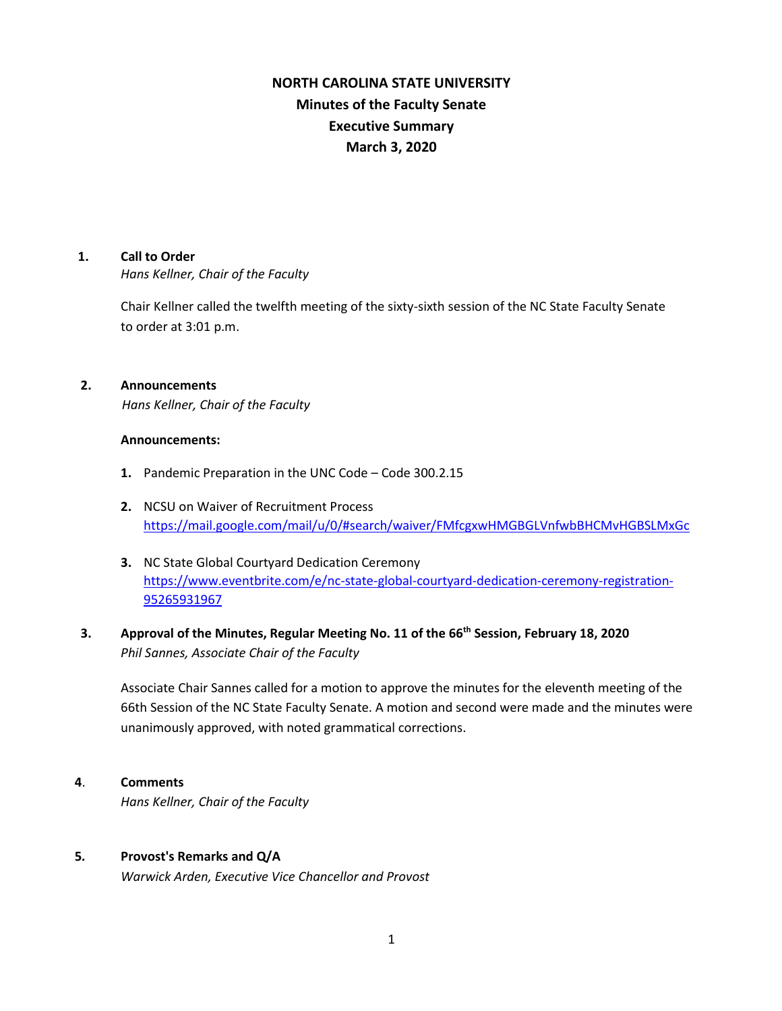# **NORTH CAROLINA STATE UNIVERSITY Minutes of the Faculty Senate Executive Summary March 3, 2020**

## **1. Call to Order**

*Hans Kellner, Chair of the Faculty*

Chair Kellner called the twelfth meeting of the sixty-sixth session of the NC State Faculty Senate to order at 3:01 p.m.

# **2. Announcements**

*Hans Kellner, Chair of the Faculty*

### **Announcements:**

- **1.** Pandemic Preparation in the UNC Code Code 300.2.15
- **2.** NCSU on Waiver of Recruitment Process <https://mail.google.com/mail/u/0/#search/waiver/FMfcgxwHMGBGLVnfwbBHCMvHGBSLMxGc>
- **3.** NC State Global Courtyard Dedication Ceremony [https://www.eventbrite.com/e/nc-state-global-courtyard-dedication-ceremony-registration-](https://www.eventbrite.com/e/nc-state-global-courtyard-dedication-ceremony-registration-95265931967)[95265931967](https://www.eventbrite.com/e/nc-state-global-courtyard-dedication-ceremony-registration-95265931967)

# **3. Approval of the Minutes, Regular Meeting No. 11 of the 66th Session, February 18, 2020** *Phil Sannes, Associate Chair of the Faculty*

Associate Chair Sannes called for a motion to approve the minutes for the eleventh meeting of the 66th Session of the NC State Faculty Senate. A motion and second were made and the minutes were unanimously approved, with noted grammatical corrections.

### **4**. **Comments**

*Hans Kellner, Chair of the Faculty*

# **5***.* **Provost's Remarks and Q/A**

*Warwick Arden, Executive Vice Chancellor and Provost*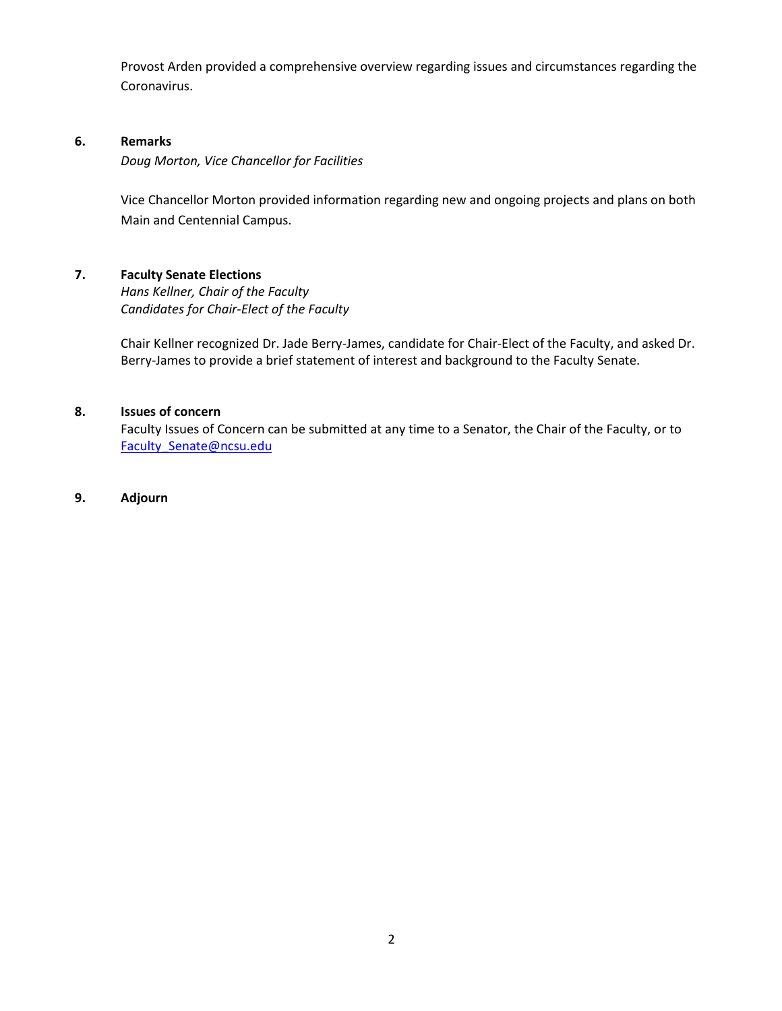Provost Arden provided a comprehensive overview regarding issues and circumstances regarding the Coronavirus.

# **6. Remarks**

*Doug Morton, Vice Chancellor for Facilities* 

Vice Chancellor Morton provided information regarding new and ongoing projects and plans on both Main and Centennial Campus.

# **7. Faculty Senate Elections**

*Hans Kellner, Chair of the Faculty Candidates for Chair-Elect of the Faculty*

Chair Kellner recognized Dr. Jade Berry-James, candidate for Chair-Elect of the Faculty, and asked Dr. Berry-James to provide a brief statement of interest and background to the Faculty Senate.

# **8. Issues of concern**

Faculty Issues of Concern can be submitted at any time to a Senator, the Chair of the Faculty, or to Faculty Senate@ncsu.edu

# **9. Adjourn**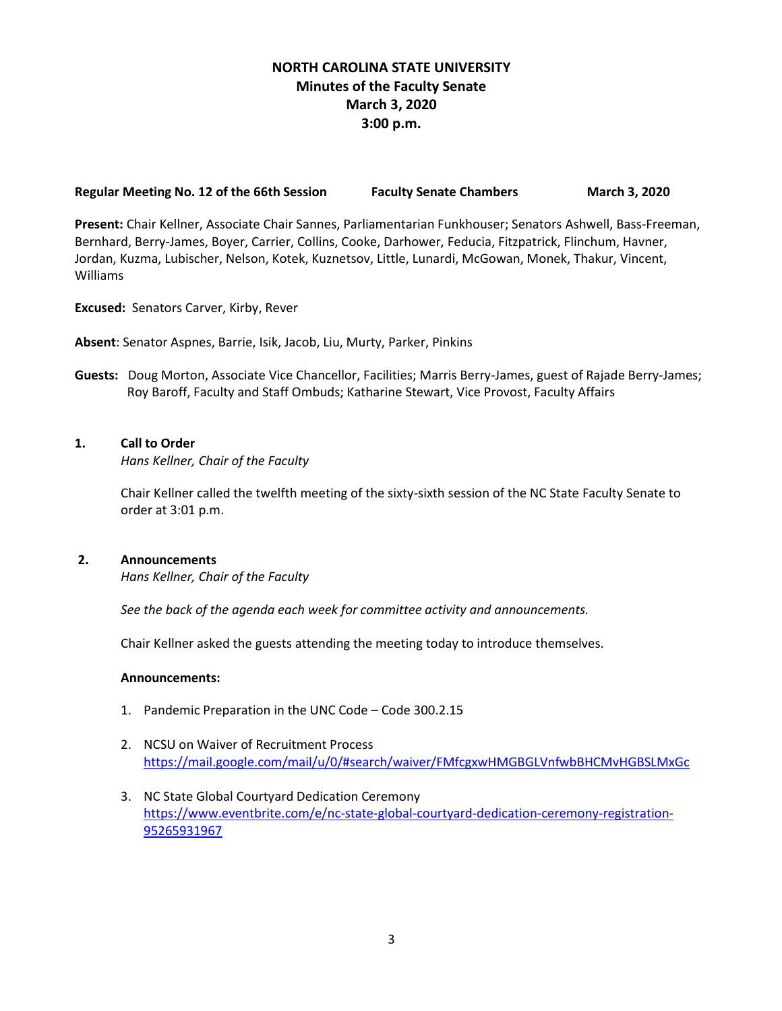# **NORTH CAROLINA STATE UNIVERSITY Minutes of the Faculty Senate March 3, 2020 3:00 p.m.**

#### **Regular Meeting No. 12 of the 66th Session Faculty Senate Chambers March 3, 2020**

**Present:** Chair Kellner, Associate Chair Sannes, Parliamentarian Funkhouser; Senators Ashwell, Bass-Freeman, Bernhard, Berry-James, Boyer, Carrier, Collins, Cooke, Darhower, Feducia, Fitzpatrick, Flinchum, Havner, Jordan, Kuzma, Lubischer, Nelson, Kotek, Kuznetsov, Little, Lunardi, McGowan, Monek, Thakur, Vincent, Williams

**Excused:** Senators Carver, Kirby, Rever

**Absent**: Senator Aspnes, Barrie, Isik, Jacob, Liu, Murty, Parker, Pinkins

**Guests:** Doug Morton, Associate Vice Chancellor, Facilities; Marris Berry-James, guest of Rajade Berry-James; Roy Baroff, Faculty and Staff Ombuds; Katharine Stewart, Vice Provost, Faculty Affairs

## **1. Call to Order**

*Hans Kellner, Chair of the Faculty*

Chair Kellner called the twelfth meeting of the sixty-sixth session of the NC State Faculty Senate to order at 3:01 p.m.

#### **2. Announcements**

*Hans Kellner, Chair of the Faculty*

*See the back of the agenda each week for committee activity and announcements.*

Chair Kellner asked the guests attending the meeting today to introduce themselves.

#### **Announcements:**

- 1. Pandemic Preparation in the UNC Code Code 300.2.15
- 2. NCSU on Waiver of Recruitment Process <https://mail.google.com/mail/u/0/#search/waiver/FMfcgxwHMGBGLVnfwbBHCMvHGBSLMxGc>
- 3. NC State Global Courtyard Dedication Ceremony [https://www.eventbrite.com/e/nc-state-global-courtyard-dedication-ceremony-registration-](https://www.eventbrite.com/e/nc-state-global-courtyard-dedication-ceremony-registration-95265931967)[95265931967](https://www.eventbrite.com/e/nc-state-global-courtyard-dedication-ceremony-registration-95265931967)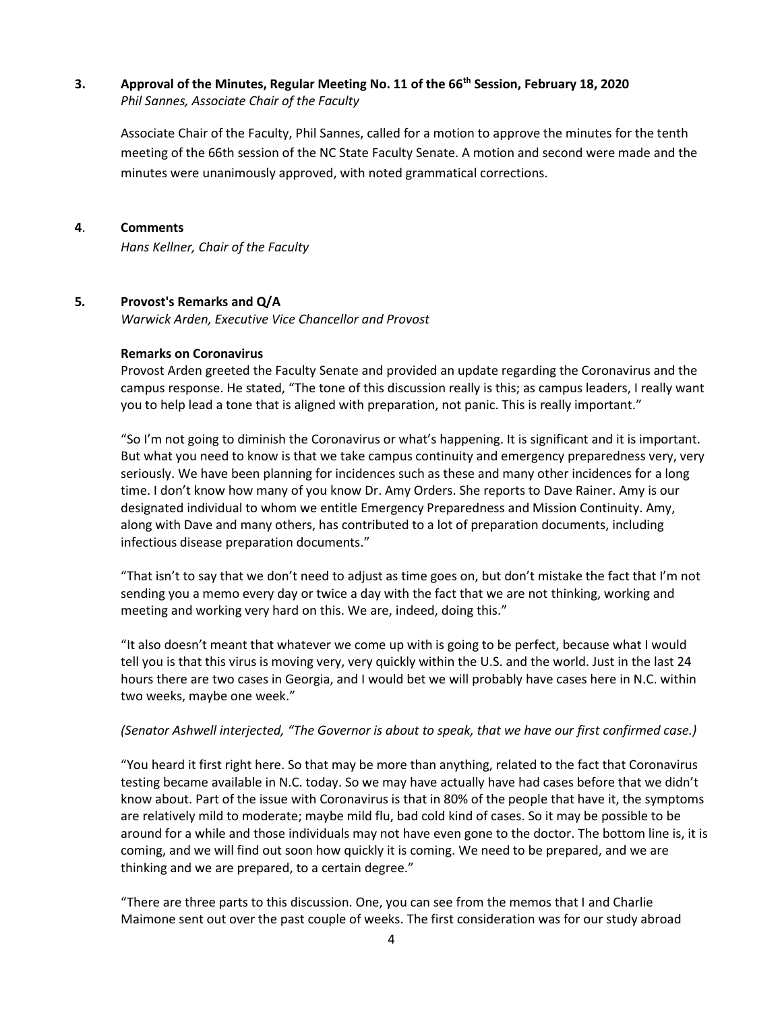# **3. Approval of the Minutes, Regular Meeting No. 11 of the 66th Session, February 18, 2020** *Phil Sannes, Associate Chair of the Faculty*

Associate Chair of the Faculty, Phil Sannes, called for a motion to approve the minutes for the tenth meeting of the 66th session of the NC State Faculty Senate. A motion and second were made and the minutes were unanimously approved, with noted grammatical corrections.

#### **4**. **Comments**

*Hans Kellner, Chair of the Faculty*

### **5***.* **Provost's Remarks and Q/A**

*Warwick Arden, Executive Vice Chancellor and Provost*

#### **Remarks on Coronavirus**

Provost Arden greeted the Faculty Senate and provided an update regarding the Coronavirus and the campus response. He stated, "The tone of this discussion really is this; as campus leaders, I really want you to help lead a tone that is aligned with preparation, not panic. This is really important."

"So I'm not going to diminish the Coronavirus or what's happening. It is significant and it is important. But what you need to know is that we take campus continuity and emergency preparedness very, very seriously. We have been planning for incidences such as these and many other incidences for a long time. I don't know how many of you know Dr. Amy Orders. She reports to Dave Rainer. Amy is our designated individual to whom we entitle Emergency Preparedness and Mission Continuity. Amy, along with Dave and many others, has contributed to a lot of preparation documents, including infectious disease preparation documents."

"That isn't to say that we don't need to adjust as time goes on, but don't mistake the fact that I'm not sending you a memo every day or twice a day with the fact that we are not thinking, working and meeting and working very hard on this. We are, indeed, doing this."

"It also doesn't meant that whatever we come up with is going to be perfect, because what I would tell you is that this virus is moving very, very quickly within the U.S. and the world. Just in the last 24 hours there are two cases in Georgia, and I would bet we will probably have cases here in N.C. within two weeks, maybe one week."

### *(Senator Ashwell interjected, "The Governor is about to speak, that we have our first confirmed case.)*

"You heard it first right here. So that may be more than anything, related to the fact that Coronavirus testing became available in N.C. today. So we may have actually have had cases before that we didn't know about. Part of the issue with Coronavirus is that in 80% of the people that have it, the symptoms are relatively mild to moderate; maybe mild flu, bad cold kind of cases. So it may be possible to be around for a while and those individuals may not have even gone to the doctor. The bottom line is, it is coming, and we will find out soon how quickly it is coming. We need to be prepared, and we are thinking and we are prepared, to a certain degree."

"There are three parts to this discussion. One, you can see from the memos that I and Charlie Maimone sent out over the past couple of weeks. The first consideration was for our study abroad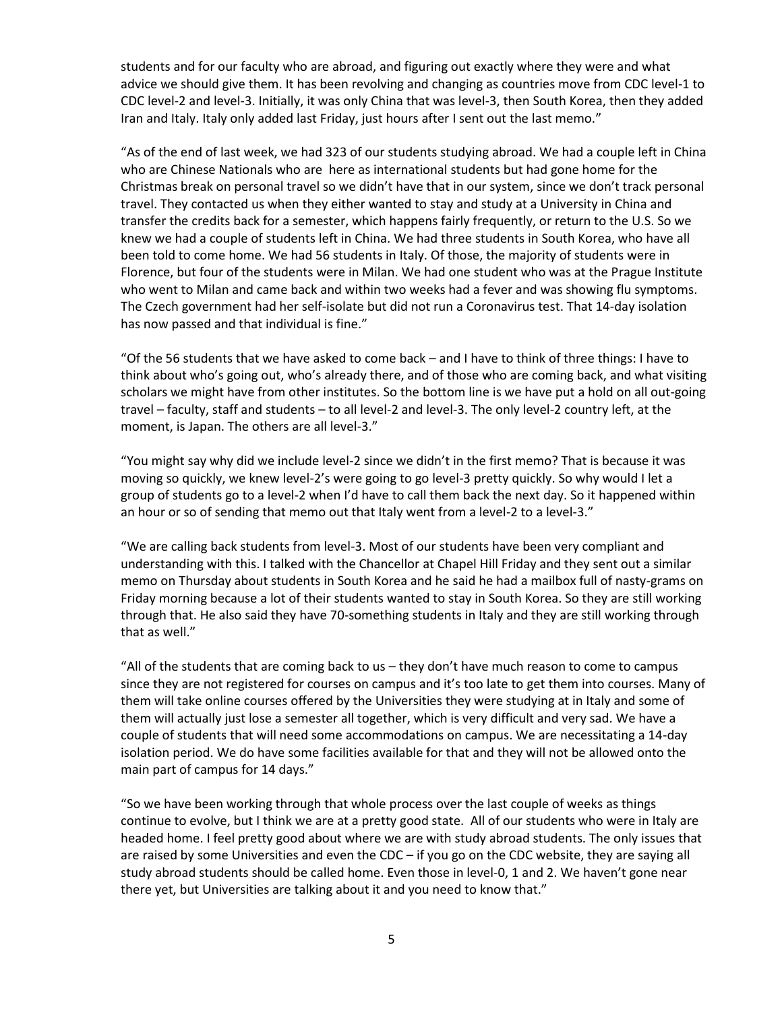students and for our faculty who are abroad, and figuring out exactly where they were and what advice we should give them. It has been revolving and changing as countries move from CDC level-1 to CDC level-2 and level-3. Initially, it was only China that was level-3, then South Korea, then they added Iran and Italy. Italy only added last Friday, just hours after I sent out the last memo."

"As of the end of last week, we had 323 of our students studying abroad. We had a couple left in China who are Chinese Nationals who are here as international students but had gone home for the Christmas break on personal travel so we didn't have that in our system, since we don't track personal travel. They contacted us when they either wanted to stay and study at a University in China and transfer the credits back for a semester, which happens fairly frequently, or return to the U.S. So we knew we had a couple of students left in China. We had three students in South Korea, who have all been told to come home. We had 56 students in Italy. Of those, the majority of students were in Florence, but four of the students were in Milan. We had one student who was at the Prague Institute who went to Milan and came back and within two weeks had a fever and was showing flu symptoms. The Czech government had her self-isolate but did not run a Coronavirus test. That 14-day isolation has now passed and that individual is fine."

"Of the 56 students that we have asked to come back – and I have to think of three things: I have to think about who's going out, who's already there, and of those who are coming back, and what visiting scholars we might have from other institutes. So the bottom line is we have put a hold on all out-going travel – faculty, staff and students – to all level-2 and level-3. The only level-2 country left, at the moment, is Japan. The others are all level-3."

"You might say why did we include level-2 since we didn't in the first memo? That is because it was moving so quickly, we knew level-2's were going to go level-3 pretty quickly. So why would I let a group of students go to a level-2 when I'd have to call them back the next day. So it happened within an hour or so of sending that memo out that Italy went from a level-2 to a level-3."

"We are calling back students from level-3. Most of our students have been very compliant and understanding with this. I talked with the Chancellor at Chapel Hill Friday and they sent out a similar memo on Thursday about students in South Korea and he said he had a mailbox full of nasty-grams on Friday morning because a lot of their students wanted to stay in South Korea. So they are still working through that. He also said they have 70-something students in Italy and they are still working through that as well."

"All of the students that are coming back to us – they don't have much reason to come to campus since they are not registered for courses on campus and it's too late to get them into courses. Many of them will take online courses offered by the Universities they were studying at in Italy and some of them will actually just lose a semester all together, which is very difficult and very sad. We have a couple of students that will need some accommodations on campus. We are necessitating a 14-day isolation period. We do have some facilities available for that and they will not be allowed onto the main part of campus for 14 days."

"So we have been working through that whole process over the last couple of weeks as things continue to evolve, but I think we are at a pretty good state. All of our students who were in Italy are headed home. I feel pretty good about where we are with study abroad students. The only issues that are raised by some Universities and even the CDC – if you go on the CDC website, they are saying all study abroad students should be called home. Even those in level-0, 1 and 2. We haven't gone near there yet, but Universities are talking about it and you need to know that."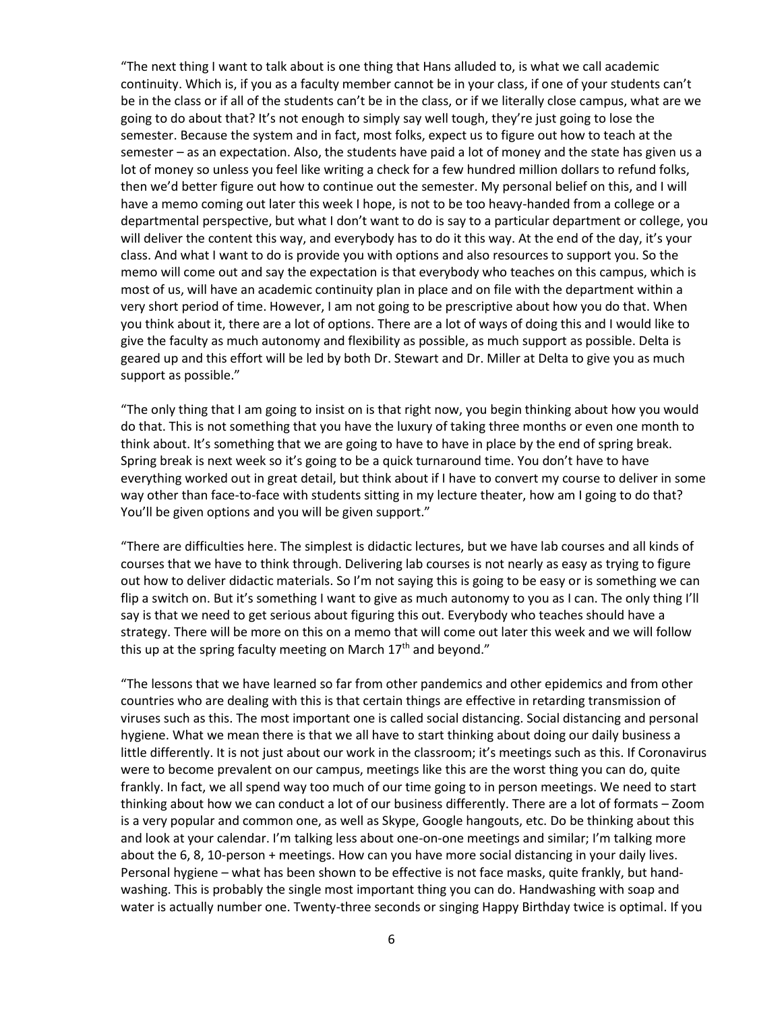"The next thing I want to talk about is one thing that Hans alluded to, is what we call academic continuity. Which is, if you as a faculty member cannot be in your class, if one of your students can't be in the class or if all of the students can't be in the class, or if we literally close campus, what are we going to do about that? It's not enough to simply say well tough, they're just going to lose the semester. Because the system and in fact, most folks, expect us to figure out how to teach at the semester – as an expectation. Also, the students have paid a lot of money and the state has given us a lot of money so unless you feel like writing a check for a few hundred million dollars to refund folks, then we'd better figure out how to continue out the semester. My personal belief on this, and I will have a memo coming out later this week I hope, is not to be too heavy-handed from a college or a departmental perspective, but what I don't want to do is say to a particular department or college, you will deliver the content this way, and everybody has to do it this way. At the end of the day, it's your class. And what I want to do is provide you with options and also resources to support you. So the memo will come out and say the expectation is that everybody who teaches on this campus, which is most of us, will have an academic continuity plan in place and on file with the department within a very short period of time. However, I am not going to be prescriptive about how you do that. When you think about it, there are a lot of options. There are a lot of ways of doing this and I would like to give the faculty as much autonomy and flexibility as possible, as much support as possible. Delta is geared up and this effort will be led by both Dr. Stewart and Dr. Miller at Delta to give you as much support as possible."

"The only thing that I am going to insist on is that right now, you begin thinking about how you would do that. This is not something that you have the luxury of taking three months or even one month to think about. It's something that we are going to have to have in place by the end of spring break. Spring break is next week so it's going to be a quick turnaround time. You don't have to have everything worked out in great detail, but think about if I have to convert my course to deliver in some way other than face-to-face with students sitting in my lecture theater, how am I going to do that? You'll be given options and you will be given support."

"There are difficulties here. The simplest is didactic lectures, but we have lab courses and all kinds of courses that we have to think through. Delivering lab courses is not nearly as easy as trying to figure out how to deliver didactic materials. So I'm not saying this is going to be easy or is something we can flip a switch on. But it's something I want to give as much autonomy to you as I can. The only thing I'll say is that we need to get serious about figuring this out. Everybody who teaches should have a strategy. There will be more on this on a memo that will come out later this week and we will follow this up at the spring faculty meeting on March  $17<sup>th</sup>$  and beyond."

"The lessons that we have learned so far from other pandemics and other epidemics and from other countries who are dealing with this is that certain things are effective in retarding transmission of viruses such as this. The most important one is called social distancing. Social distancing and personal hygiene. What we mean there is that we all have to start thinking about doing our daily business a little differently. It is not just about our work in the classroom; it's meetings such as this. If Coronavirus were to become prevalent on our campus, meetings like this are the worst thing you can do, quite frankly. In fact, we all spend way too much of our time going to in person meetings. We need to start thinking about how we can conduct a lot of our business differently. There are a lot of formats – Zoom is a very popular and common one, as well as Skype, Google hangouts, etc. Do be thinking about this and look at your calendar. I'm talking less about one-on-one meetings and similar; I'm talking more about the 6, 8, 10-person + meetings. How can you have more social distancing in your daily lives. Personal hygiene – what has been shown to be effective is not face masks, quite frankly, but handwashing. This is probably the single most important thing you can do. Handwashing with soap and water is actually number one. Twenty-three seconds or singing Happy Birthday twice is optimal. If you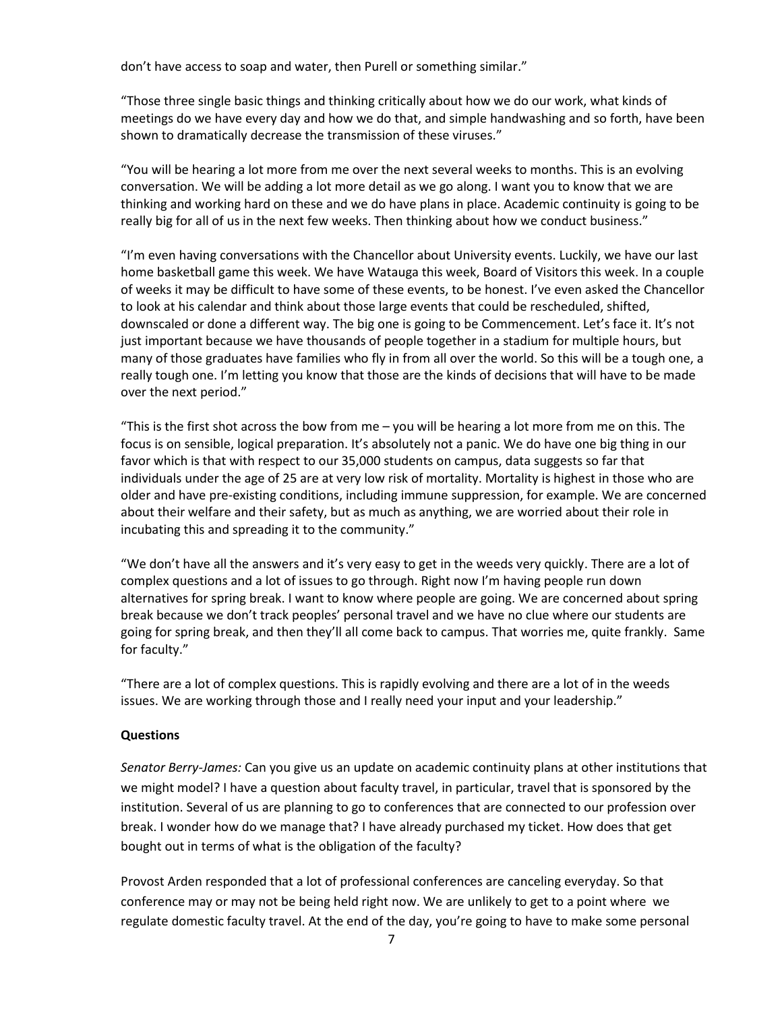don't have access to soap and water, then Purell or something similar."

"Those three single basic things and thinking critically about how we do our work, what kinds of meetings do we have every day and how we do that, and simple handwashing and so forth, have been shown to dramatically decrease the transmission of these viruses."

"You will be hearing a lot more from me over the next several weeks to months. This is an evolving conversation. We will be adding a lot more detail as we go along. I want you to know that we are thinking and working hard on these and we do have plans in place. Academic continuity is going to be really big for all of us in the next few weeks. Then thinking about how we conduct business."

"I'm even having conversations with the Chancellor about University events. Luckily, we have our last home basketball game this week. We have Watauga this week, Board of Visitors this week. In a couple of weeks it may be difficult to have some of these events, to be honest. I've even asked the Chancellor to look at his calendar and think about those large events that could be rescheduled, shifted, downscaled or done a different way. The big one is going to be Commencement. Let's face it. It's not just important because we have thousands of people together in a stadium for multiple hours, but many of those graduates have families who fly in from all over the world. So this will be a tough one, a really tough one. I'm letting you know that those are the kinds of decisions that will have to be made over the next period."

"This is the first shot across the bow from me  $-$  you will be hearing a lot more from me on this. The focus is on sensible, logical preparation. It's absolutely not a panic. We do have one big thing in our favor which is that with respect to our 35,000 students on campus, data suggests so far that individuals under the age of 25 are at very low risk of mortality. Mortality is highest in those who are older and have pre-existing conditions, including immune suppression, for example. We are concerned about their welfare and their safety, but as much as anything, we are worried about their role in incubating this and spreading it to the community."

"We don't have all the answers and it's very easy to get in the weeds very quickly. There are a lot of complex questions and a lot of issues to go through. Right now I'm having people run down alternatives for spring break. I want to know where people are going. We are concerned about spring break because we don't track peoples' personal travel and we have no clue where our students are going for spring break, and then they'll all come back to campus. That worries me, quite frankly. Same for faculty."

"There are a lot of complex questions. This is rapidly evolving and there are a lot of in the weeds issues. We are working through those and I really need your input and your leadership."

### **Questions**

*Senator Berry-James:* Can you give us an update on academic continuity plans at other institutions that we might model? I have a question about faculty travel, in particular, travel that is sponsored by the institution. Several of us are planning to go to conferences that are connected to our profession over break. I wonder how do we manage that? I have already purchased my ticket. How does that get bought out in terms of what is the obligation of the faculty?

Provost Arden responded that a lot of professional conferences are canceling everyday. So that conference may or may not be being held right now. We are unlikely to get to a point where we regulate domestic faculty travel. At the end of the day, you're going to have to make some personal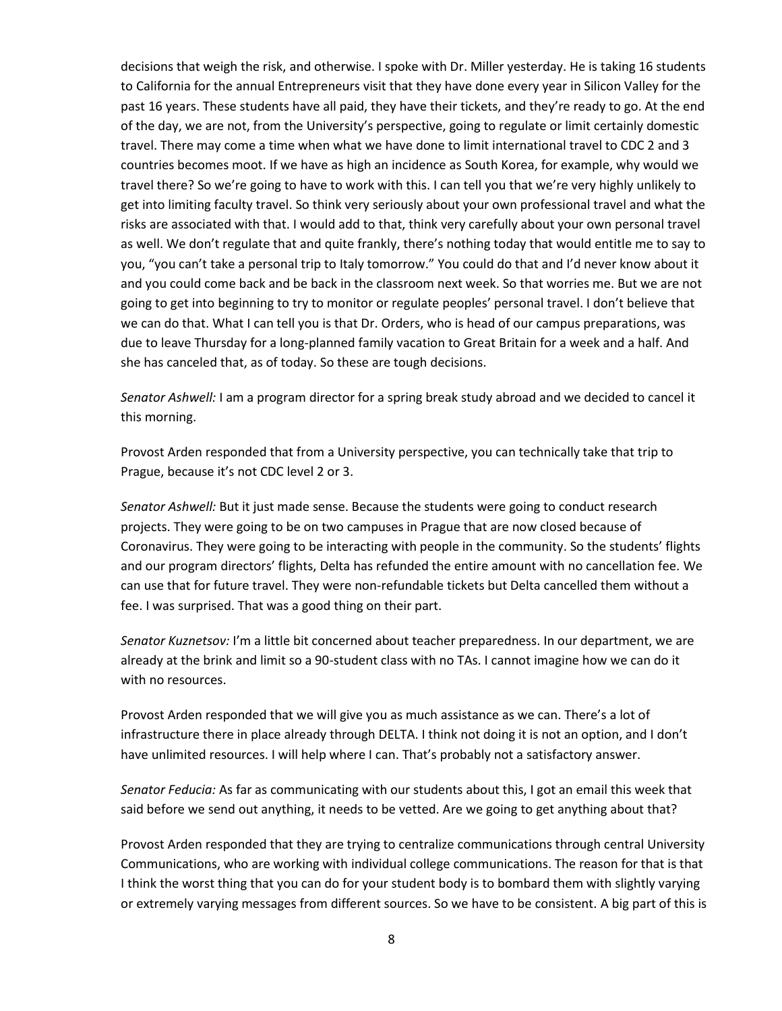decisions that weigh the risk, and otherwise. I spoke with Dr. Miller yesterday. He is taking 16 students to California for the annual Entrepreneurs visit that they have done every year in Silicon Valley for the past 16 years. These students have all paid, they have their tickets, and they're ready to go. At the end of the day, we are not, from the University's perspective, going to regulate or limit certainly domestic travel. There may come a time when what we have done to limit international travel to CDC 2 and 3 countries becomes moot. If we have as high an incidence as South Korea, for example, why would we travel there? So we're going to have to work with this. I can tell you that we're very highly unlikely to get into limiting faculty travel. So think very seriously about your own professional travel and what the risks are associated with that. I would add to that, think very carefully about your own personal travel as well. We don't regulate that and quite frankly, there's nothing today that would entitle me to say to you, "you can't take a personal trip to Italy tomorrow." You could do that and I'd never know about it and you could come back and be back in the classroom next week. So that worries me. But we are not going to get into beginning to try to monitor or regulate peoples' personal travel. I don't believe that we can do that. What I can tell you is that Dr. Orders, who is head of our campus preparations, was due to leave Thursday for a long-planned family vacation to Great Britain for a week and a half. And she has canceled that, as of today. So these are tough decisions.

*Senator Ashwell:* I am a program director for a spring break study abroad and we decided to cancel it this morning.

Provost Arden responded that from a University perspective, you can technically take that trip to Prague, because it's not CDC level 2 or 3.

*Senator Ashwell:* But it just made sense. Because the students were going to conduct research projects. They were going to be on two campuses in Prague that are now closed because of Coronavirus. They were going to be interacting with people in the community. So the students' flights and our program directors' flights, Delta has refunded the entire amount with no cancellation fee. We can use that for future travel. They were non-refundable tickets but Delta cancelled them without a fee. I was surprised. That was a good thing on their part.

*Senator Kuznetsov:* I'm a little bit concerned about teacher preparedness. In our department, we are already at the brink and limit so a 90-student class with no TAs. I cannot imagine how we can do it with no resources.

Provost Arden responded that we will give you as much assistance as we can. There's a lot of infrastructure there in place already through DELTA. I think not doing it is not an option, and I don't have unlimited resources. I will help where I can. That's probably not a satisfactory answer.

*Senator Feducia:* As far as communicating with our students about this, I got an email this week that said before we send out anything, it needs to be vetted. Are we going to get anything about that?

Provost Arden responded that they are trying to centralize communications through central University Communications, who are working with individual college communications. The reason for that is that I think the worst thing that you can do for your student body is to bombard them with slightly varying or extremely varying messages from different sources. So we have to be consistent. A big part of this is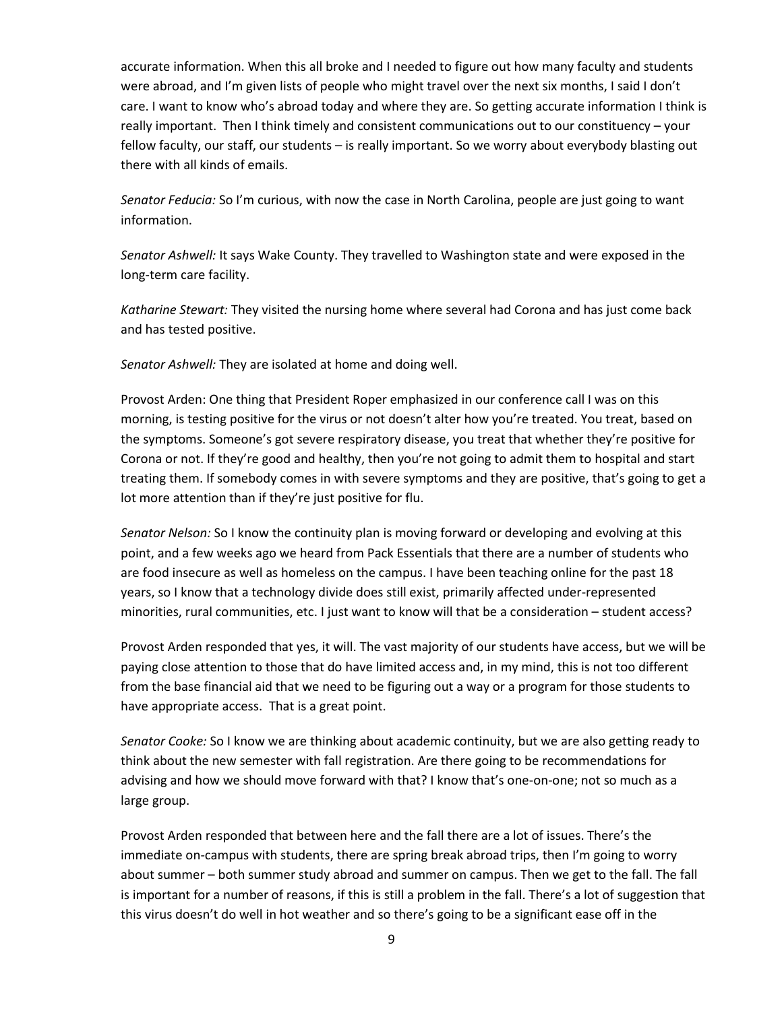accurate information. When this all broke and I needed to figure out how many faculty and students were abroad, and I'm given lists of people who might travel over the next six months, I said I don't care. I want to know who's abroad today and where they are. So getting accurate information I think is really important. Then I think timely and consistent communications out to our constituency – your fellow faculty, our staff, our students – is really important. So we worry about everybody blasting out there with all kinds of emails.

*Senator Feducia:* So I'm curious, with now the case in North Carolina, people are just going to want information.

*Senator Ashwell:* It says Wake County. They travelled to Washington state and were exposed in the long-term care facility.

*Katharine Stewart:* They visited the nursing home where several had Corona and has just come back and has tested positive.

*Senator Ashwell:* They are isolated at home and doing well.

Provost Arden: One thing that President Roper emphasized in our conference call I was on this morning, is testing positive for the virus or not doesn't alter how you're treated. You treat, based on the symptoms. Someone's got severe respiratory disease, you treat that whether they're positive for Corona or not. If they're good and healthy, then you're not going to admit them to hospital and start treating them. If somebody comes in with severe symptoms and they are positive, that's going to get a lot more attention than if they're just positive for flu.

*Senator Nelson:* So I know the continuity plan is moving forward or developing and evolving at this point, and a few weeks ago we heard from Pack Essentials that there are a number of students who are food insecure as well as homeless on the campus. I have been teaching online for the past 18 years, so I know that a technology divide does still exist, primarily affected under-represented minorities, rural communities, etc. I just want to know will that be a consideration – student access?

Provost Arden responded that yes, it will. The vast majority of our students have access, but we will be paying close attention to those that do have limited access and, in my mind, this is not too different from the base financial aid that we need to be figuring out a way or a program for those students to have appropriate access. That is a great point.

*Senator Cooke:* So I know we are thinking about academic continuity, but we are also getting ready to think about the new semester with fall registration. Are there going to be recommendations for advising and how we should move forward with that? I know that's one-on-one; not so much as a large group.

Provost Arden responded that between here and the fall there are a lot of issues. There's the immediate on-campus with students, there are spring break abroad trips, then I'm going to worry about summer – both summer study abroad and summer on campus. Then we get to the fall. The fall is important for a number of reasons, if this is still a problem in the fall. There's a lot of suggestion that this virus doesn't do well in hot weather and so there's going to be a significant ease off in the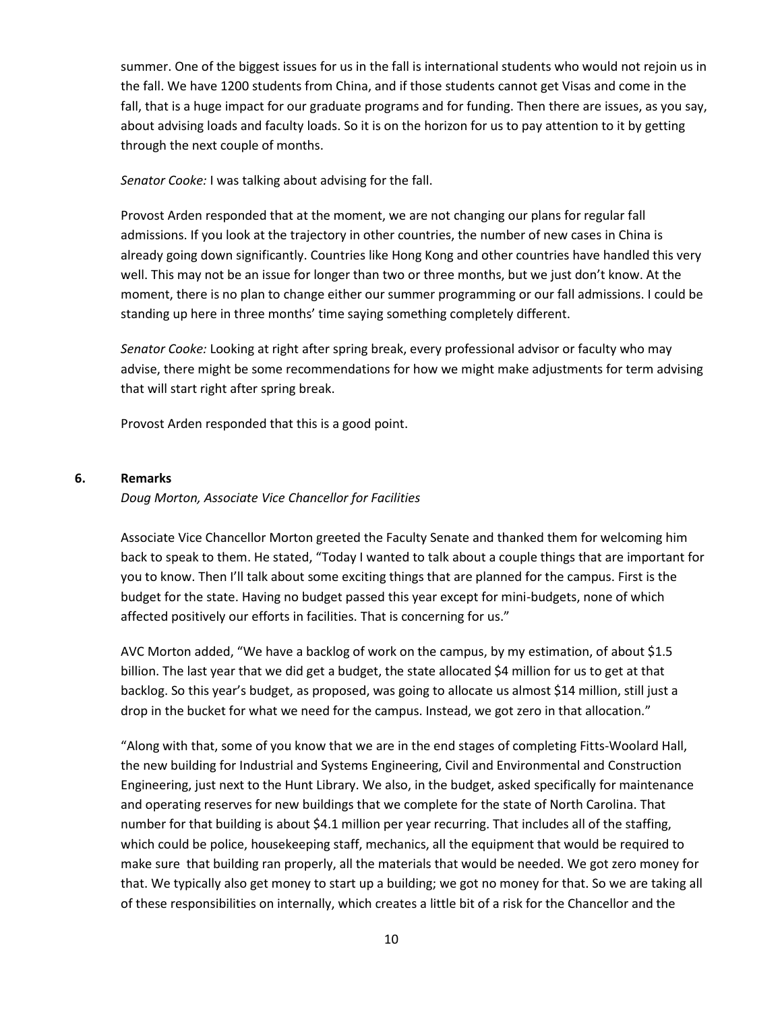summer. One of the biggest issues for us in the fall is international students who would not rejoin us in the fall. We have 1200 students from China, and if those students cannot get Visas and come in the fall, that is a huge impact for our graduate programs and for funding. Then there are issues, as you say, about advising loads and faculty loads. So it is on the horizon for us to pay attention to it by getting through the next couple of months.

*Senator Cooke:* I was talking about advising for the fall.

Provost Arden responded that at the moment, we are not changing our plans for regular fall admissions. If you look at the trajectory in other countries, the number of new cases in China is already going down significantly. Countries like Hong Kong and other countries have handled this very well. This may not be an issue for longer than two or three months, but we just don't know. At the moment, there is no plan to change either our summer programming or our fall admissions. I could be standing up here in three months' time saying something completely different.

*Senator Cooke:* Looking at right after spring break, every professional advisor or faculty who may advise, there might be some recommendations for how we might make adjustments for term advising that will start right after spring break.

Provost Arden responded that this is a good point.

#### **6. Remarks**

#### *Doug Morton, Associate Vice Chancellor for Facilities*

Associate Vice Chancellor Morton greeted the Faculty Senate and thanked them for welcoming him back to speak to them. He stated, "Today I wanted to talk about a couple things that are important for you to know. Then I'll talk about some exciting things that are planned for the campus. First is the budget for the state. Having no budget passed this year except for mini-budgets, none of which affected positively our efforts in facilities. That is concerning for us."

AVC Morton added, "We have a backlog of work on the campus, by my estimation, of about \$1.5 billion. The last year that we did get a budget, the state allocated \$4 million for us to get at that backlog. So this year's budget, as proposed, was going to allocate us almost \$14 million, still just a drop in the bucket for what we need for the campus. Instead, we got zero in that allocation."

"Along with that, some of you know that we are in the end stages of completing Fitts-Woolard Hall, the new building for Industrial and Systems Engineering, Civil and Environmental and Construction Engineering, just next to the Hunt Library. We also, in the budget, asked specifically for maintenance and operating reserves for new buildings that we complete for the state of North Carolina. That number for that building is about \$4.1 million per year recurring. That includes all of the staffing, which could be police, housekeeping staff, mechanics, all the equipment that would be required to make sure that building ran properly, all the materials that would be needed. We got zero money for that. We typically also get money to start up a building; we got no money for that. So we are taking all of these responsibilities on internally, which creates a little bit of a risk for the Chancellor and the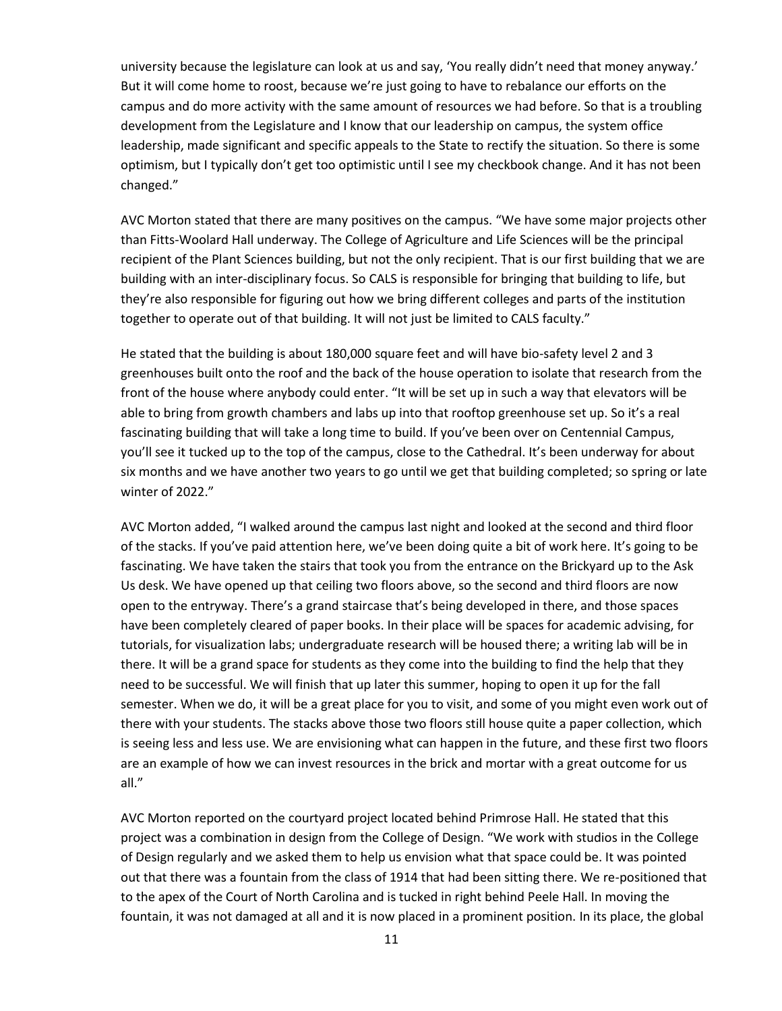university because the legislature can look at us and say, 'You really didn't need that money anyway.' But it will come home to roost, because we're just going to have to rebalance our efforts on the campus and do more activity with the same amount of resources we had before. So that is a troubling development from the Legislature and I know that our leadership on campus, the system office leadership, made significant and specific appeals to the State to rectify the situation. So there is some optimism, but I typically don't get too optimistic until I see my checkbook change. And it has not been changed."

AVC Morton stated that there are many positives on the campus. "We have some major projects other than Fitts-Woolard Hall underway. The College of Agriculture and Life Sciences will be the principal recipient of the Plant Sciences building, but not the only recipient. That is our first building that we are building with an inter-disciplinary focus. So CALS is responsible for bringing that building to life, but they're also responsible for figuring out how we bring different colleges and parts of the institution together to operate out of that building. It will not just be limited to CALS faculty."

He stated that the building is about 180,000 square feet and will have bio-safety level 2 and 3 greenhouses built onto the roof and the back of the house operation to isolate that research from the front of the house where anybody could enter. "It will be set up in such a way that elevators will be able to bring from growth chambers and labs up into that rooftop greenhouse set up. So it's a real fascinating building that will take a long time to build. If you've been over on Centennial Campus, you'll see it tucked up to the top of the campus, close to the Cathedral. It's been underway for about six months and we have another two years to go until we get that building completed; so spring or late winter of 2022."

AVC Morton added, "I walked around the campus last night and looked at the second and third floor of the stacks. If you've paid attention here, we've been doing quite a bit of work here. It's going to be fascinating. We have taken the stairs that took you from the entrance on the Brickyard up to the Ask Us desk. We have opened up that ceiling two floors above, so the second and third floors are now open to the entryway. There's a grand staircase that's being developed in there, and those spaces have been completely cleared of paper books. In their place will be spaces for academic advising, for tutorials, for visualization labs; undergraduate research will be housed there; a writing lab will be in there. It will be a grand space for students as they come into the building to find the help that they need to be successful. We will finish that up later this summer, hoping to open it up for the fall semester. When we do, it will be a great place for you to visit, and some of you might even work out of there with your students. The stacks above those two floors still house quite a paper collection, which is seeing less and less use. We are envisioning what can happen in the future, and these first two floors are an example of how we can invest resources in the brick and mortar with a great outcome for us all."

AVC Morton reported on the courtyard project located behind Primrose Hall. He stated that this project was a combination in design from the College of Design. "We work with studios in the College of Design regularly and we asked them to help us envision what that space could be. It was pointed out that there was a fountain from the class of 1914 that had been sitting there. We re-positioned that to the apex of the Court of North Carolina and is tucked in right behind Peele Hall. In moving the fountain, it was not damaged at all and it is now placed in a prominent position. In its place, the global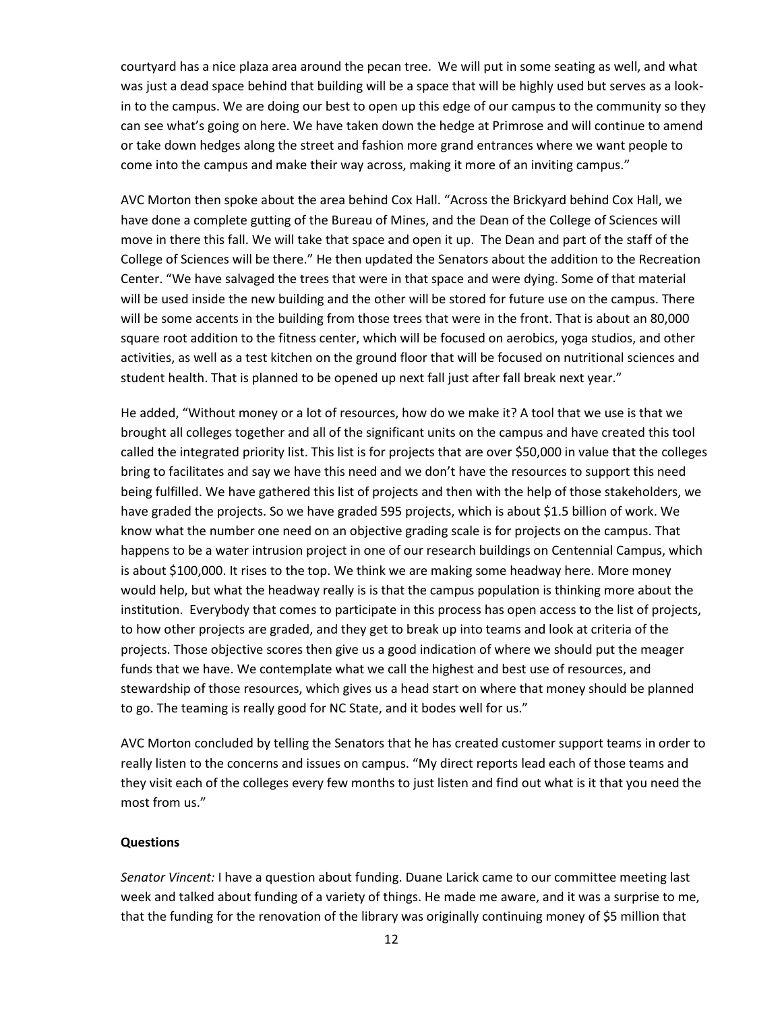courtyard has a nice plaza area around the pecan tree. We will put in some seating as well, and what was just a dead space behind that building will be a space that will be highly used but serves as a lookin to the campus. We are doing our best to open up this edge of our campus to the community so they can see what's going on here. We have taken down the hedge at Primrose and will continue to amend or take down hedges along the street and fashion more grand entrances where we want people to come into the campus and make their way across, making it more of an inviting campus."

AVC Morton then spoke about the area behind Cox Hall. "Across the Brickyard behind Cox Hall, we have done a complete gutting of the Bureau of Mines, and the Dean of the College of Sciences will move in there this fall. We will take that space and open it up. The Dean and part of the staff of the College of Sciences will be there." He then updated the Senators about the addition to the Recreation Center. "We have salvaged the trees that were in that space and were dying. Some of that material will be used inside the new building and the other will be stored for future use on the campus. There will be some accents in the building from those trees that were in the front. That is about an 80,000 square root addition to the fitness center, which will be focused on aerobics, yoga studios, and other activities, as well as a test kitchen on the ground floor that will be focused on nutritional sciences and student health. That is planned to be opened up next fall just after fall break next year."

He added, "Without money or a lot of resources, how do we make it? A tool that we use is that we brought all colleges together and all of the significant units on the campus and have created this tool called the integrated priority list. This list is for projects that are over \$50,000 in value that the colleges bring to facilitates and say we have this need and we don't have the resources to support this need being fulfilled. We have gathered this list of projects and then with the help of those stakeholders, we have graded the projects. So we have graded 595 projects, which is about \$1.5 billion of work. We know what the number one need on an objective grading scale is for projects on the campus. That happens to be a water intrusion project in one of our research buildings on Centennial Campus, which is about \$100,000. It rises to the top. We think we are making some headway here. More money would help, but what the headway really is is that the campus population is thinking more about the institution. Everybody that comes to participate in this process has open access to the list of projects, to how other projects are graded, and they get to break up into teams and look at criteria of the projects. Those objective scores then give us a good indication of where we should put the meager funds that we have. We contemplate what we call the highest and best use of resources, and stewardship of those resources, which gives us a head start on where that money should be planned to go. The teaming is really good for NC State, and it bodes well for us."

AVC Morton concluded by telling the Senators that he has created customer support teams in order to really listen to the concerns and issues on campus. "My direct reports lead each of those teams and they visit each of the colleges every few months to just listen and find out what is it that you need the most from us."

#### **Questions**

*Senator Vincent:* I have a question about funding. Duane Larick came to our committee meeting last week and talked about funding of a variety of things. He made me aware, and it was a surprise to me, that the funding for the renovation of the library was originally continuing money of \$5 million that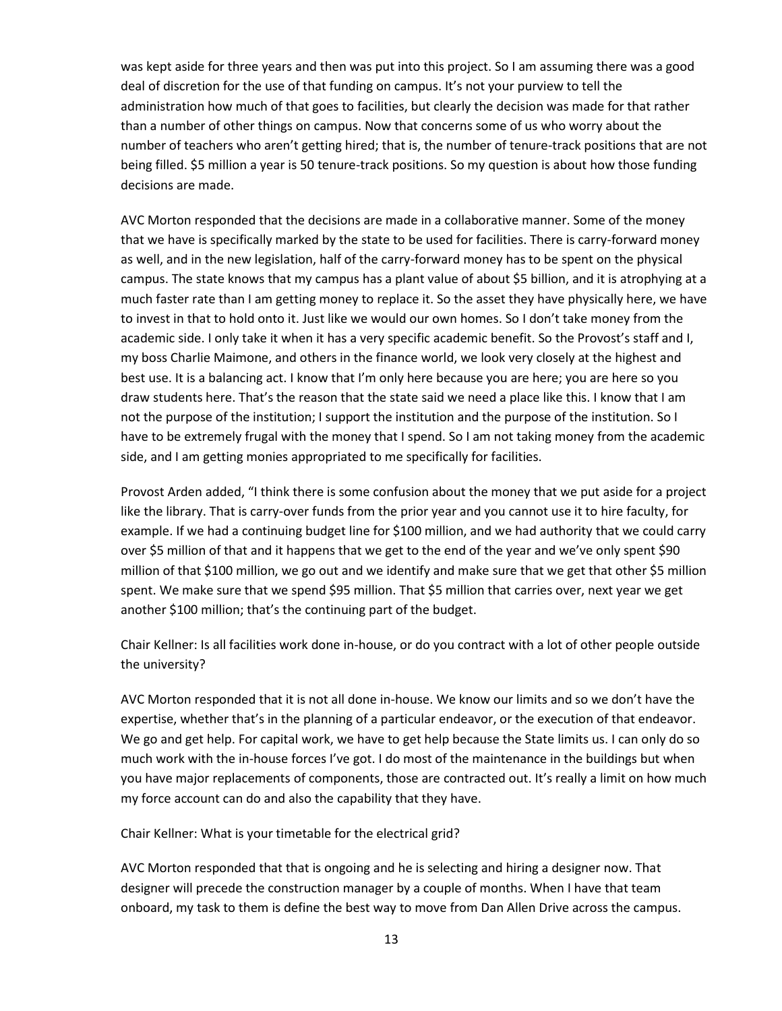was kept aside for three years and then was put into this project. So I am assuming there was a good deal of discretion for the use of that funding on campus. It's not your purview to tell the administration how much of that goes to facilities, but clearly the decision was made for that rather than a number of other things on campus. Now that concerns some of us who worry about the number of teachers who aren't getting hired; that is, the number of tenure-track positions that are not being filled. \$5 million a year is 50 tenure-track positions. So my question is about how those funding decisions are made.

AVC Morton responded that the decisions are made in a collaborative manner. Some of the money that we have is specifically marked by the state to be used for facilities. There is carry-forward money as well, and in the new legislation, half of the carry-forward money has to be spent on the physical campus. The state knows that my campus has a plant value of about \$5 billion, and it is atrophying at a much faster rate than I am getting money to replace it. So the asset they have physically here, we have to invest in that to hold onto it. Just like we would our own homes. So I don't take money from the academic side. I only take it when it has a very specific academic benefit. So the Provost's staff and I, my boss Charlie Maimone, and others in the finance world, we look very closely at the highest and best use. It is a balancing act. I know that I'm only here because you are here; you are here so you draw students here. That's the reason that the state said we need a place like this. I know that I am not the purpose of the institution; I support the institution and the purpose of the institution. So I have to be extremely frugal with the money that I spend. So I am not taking money from the academic side, and I am getting monies appropriated to me specifically for facilities.

Provost Arden added, "I think there is some confusion about the money that we put aside for a project like the library. That is carry-over funds from the prior year and you cannot use it to hire faculty, for example. If we had a continuing budget line for \$100 million, and we had authority that we could carry over \$5 million of that and it happens that we get to the end of the year and we've only spent \$90 million of that \$100 million, we go out and we identify and make sure that we get that other \$5 million spent. We make sure that we spend \$95 million. That \$5 million that carries over, next year we get another \$100 million; that's the continuing part of the budget.

Chair Kellner: Is all facilities work done in-house, or do you contract with a lot of other people outside the university?

AVC Morton responded that it is not all done in-house. We know our limits and so we don't have the expertise, whether that's in the planning of a particular endeavor, or the execution of that endeavor. We go and get help. For capital work, we have to get help because the State limits us. I can only do so much work with the in-house forces I've got. I do most of the maintenance in the buildings but when you have major replacements of components, those are contracted out. It's really a limit on how much my force account can do and also the capability that they have.

Chair Kellner: What is your timetable for the electrical grid?

AVC Morton responded that that is ongoing and he is selecting and hiring a designer now. That designer will precede the construction manager by a couple of months. When I have that team onboard, my task to them is define the best way to move from Dan Allen Drive across the campus.